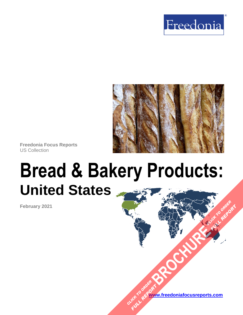



**Freedonia Focus Reports** US Collection

# **Bread & Bakery Products: United States**

**February 2021**

**[www.freedoniafocusreports.com](https://www.freedoniafocusreports.com/redirect.asp?progid=89534&url=/)** CLICK TO ORDER **FULL REPORT** 

**[BROCHURE](https://www.freedoniafocusreports.com/Bread-Bakery-Products-United-States-FF10056/?progid=89541) CLICK TO ORDER** 

**FULL REPORT**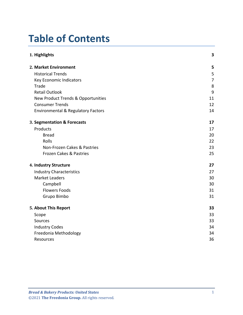# **Table of Contents**

| 1. Highlights                                 | 3              |
|-----------------------------------------------|----------------|
| 2. Market Environment                         | 5              |
| <b>Historical Trends</b>                      | 5              |
| Key Economic Indicators                       | $\overline{7}$ |
| Trade                                         | 8              |
| <b>Retail Outlook</b>                         | 9              |
| New Product Trends & Opportunities            | 11             |
| <b>Consumer Trends</b>                        | 12             |
| <b>Environmental &amp; Regulatory Factors</b> | 14             |
| 3. Segmentation & Forecasts                   | 17             |
| Products                                      | 17             |
| <b>Bread</b>                                  | 20             |
| Rolls                                         | 22             |
| Non-Frozen Cakes & Pastries                   | 23             |
| Frozen Cakes & Pastries                       | 25             |
| 4. Industry Structure                         | 27             |
| <b>Industry Characteristics</b>               | 27             |
| <b>Market Leaders</b>                         | 30             |
| Campbell                                      | 30             |
| <b>Flowers Foods</b>                          | 31             |
| Grupo Bimbo                                   | 31             |
| 5. About This Report                          | 33             |
| Scope                                         | 33             |
| Sources                                       | 33             |
| <b>Industry Codes</b>                         | 34             |
| Freedonia Methodology                         | 34             |
| <b>Resources</b>                              | 36             |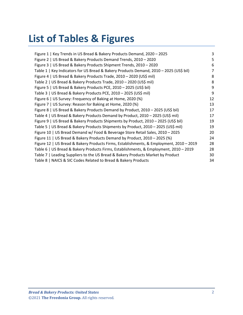# **List of Tables & Figures**

| Figure 1   Key Trends in US Bread & Bakery Products Demand, 2020 - 2025                 | 3  |
|-----------------------------------------------------------------------------------------|----|
| Figure 2   US Bread & Bakery Products Demand Trends, 2010 - 2020                        | 5  |
| Figure 3   US Bread & Bakery Products Shipment Trends, 2010 - 2020                      | 6  |
| Table 1   Key Indicators for US Bread & Bakery Products Demand, 2010 - 2025 (US\$ bil)  | 7  |
| Figure 4   US Bread & Bakery Products Trade, 2010 - 2020 (US\$ mil)                     | 8  |
| Table 2   US Bread & Bakery Products Trade, 2010 - 2020 (US\$ mil)                      | 8  |
| Figure 5   US Bread & Bakery Products PCE, 2010 - 2025 (US\$ bil)                       | 9  |
| Table 3   US Bread & Bakery Products PCE, 2010 - 2025 (US\$ mil)                        | 9  |
| Figure 6   US Survey: Frequency of Baking at Home, 2020 (%)                             | 12 |
| Figure 7   US Survey: Reason for Baking at Home, 2020 (%)                               | 13 |
| Figure 8   US Bread & Bakery Products Demand by Product, 2010 - 2025 (US\$ bil)         | 17 |
| Table 4   US Bread & Bakery Products Demand by Product, 2010 - 2025 (US\$ mil)          | 17 |
| Figure 9   US Bread & Bakery Products Shipments by Product, 2010 - 2025 (US\$ bil)      | 19 |
| Table 5   US Bread & Bakery Products Shipments by Product, 2010 - 2025 (US\$ mil)       | 19 |
| Figure 10   US Bread Demand w/ Food & Beverage Store Retail Sales, 2010 - 2025          | 20 |
| Figure 11   US Bread & Bakery Products Demand by Product, 2010 - 2025 (%)               | 24 |
| Figure 12   US Bread & Bakery Products Firms, Establishments, & Employment, 2010 - 2019 | 28 |
| Table 6   US Bread & Bakery Products Firms, Establishments, & Employment, 2010 - 2019   | 28 |
| Table 7   Leading Suppliers to the US Bread & Bakery Products Market by Product         | 30 |
| Table 8   NAICS & SIC Codes Related to Bread & Bakery Products                          | 34 |
|                                                                                         |    |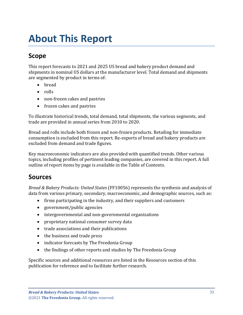# <span id="page-3-0"></span>**About This Report**

# <span id="page-3-1"></span>**Scope**

This report forecasts to 2021 and 2025 US bread and bakery product demand and shipments in nominal US dollars at the manufacturer level. Total demand and shipments are segmented by product in terms of:

- bread
- rolls
- non-frozen cakes and pastries
- frozen cakes and pastries

To illustrate historical trends, total demand, total shipments, the various segments, and trade are provided in annual series from 2010 to 2020.

Bread and rolls include both frozen and non-frozen products. Retailing for immediate consumption is excluded from this report. Re-exports of bread and bakery products are excluded from demand and trade figures.

Key macroeconomic indicators are also provided with quantified trends. Other various topics, including profiles of pertinent leading companies, are covered in this report. A full outline of report items by page is available in the Table of Contents.

### <span id="page-3-2"></span>**Sources**

*Bread & Bakery Products: United States* (FF10056) represents the synthesis and analysis of data from various primary, secondary, macroeconomic, and demographic sources, such as:

- firms participating in the industry, and their suppliers and customers
- government/public agencies
- intergovernmental and non-governmental organizations
- proprietary national consumer survey data
- trade associations and their publications
- the business and trade press
- indicator forecasts by The Freedonia Group
- the findings of other reports and studies by The Freedonia Group

Specific sources and additional resources are listed in the Resources section of this publication for reference and to facilitate further research.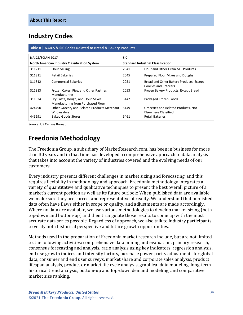# <span id="page-4-0"></span>**Industry Codes**

#### <span id="page-4-2"></span>**Table 8 | NAICS & SIC Codes Related to Bread & Bakery Products NAICS/SCIAN 2017 North American Industry Classification System SIC Standard Industrial Classification** 311211 Flour Milling 2041 Flour and Other Grain Mill Products 311811 Retail Bakeries 2045 Prepared Flour Mixes and Doughs 311812 Commercial Bakeries 2051 Bread and Other Bakery Products, Except Cookies and Crackers 311813 Frozen Cakes, Pies, and Other Pastries Manufacturing 2053 Frozen Bakery Products, Except Bread 311824 Dry Pasta, Dough, and Flour Mixes Manufacturing from Purchased Flour 5142 Packaged Frozen Foods 424490 Other Grocery and Related Products Merchant Wholesalers 5149 Groceries and Related Products, Not Elsewhere Classified 445291 Baked Goods Stores 5461 Retail Bakeries

Source: US Census Bureau

# <span id="page-4-1"></span>**Freedonia Methodology**

The Freedonia Group, a subsidiary of MarketResearch.com, has been in business for more than 30 years and in that time has developed a comprehensive approach to data analysis that takes into account the variety of industries covered and the evolving needs of our customers.

Every industry presents different challenges in market sizing and forecasting, and this requires flexibility in methodology and approach. Freedonia methodology integrates a variety of quantitative and qualitative techniques to present the best overall picture of a market's current position as well as its future outlook: When published data are available, we make sure they are correct and representative of reality. We understand that published data often have flaws either in scope or quality, and adjustments are made accordingly. Where no data are available, we use various methodologies to develop market sizing (both top-down and bottom-up) and then triangulate those results to come up with the most accurate data series possible. Regardless of approach, we also talk to industry participants to verify both historical perspective and future growth opportunities.

Methods used in the preparation of Freedonia market research include, but are not limited to, the following activities: comprehensive data mining and evaluation, primary research, consensus forecasting and analysis, ratio analysis using key indicators, regression analysis, end use growth indices and intensity factors, purchase power parity adjustments for global data, consumer and end user surveys, market share and corporate sales analysis, product lifespan analysis, product or market life cycle analysis, graphical data modeling, long-term historical trend analysis, bottom-up and top-down demand modeling, and comparative market size ranking.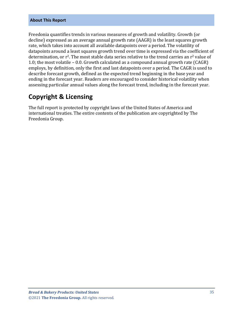#### **About This Report**

Freedonia quantifies trends in various measures of growth and volatility. Growth (or decline) expressed as an average annual growth rate (AAGR) is the least squares growth rate, which takes into account all available datapoints over a period. The volatility of datapoints around a least squares growth trend over time is expressed via the coefficient of determination, or  $r^2$ . The most stable data series relative to the trend carries an  $r^2$  value of 1.0; the most volatile – 0.0. Growth calculated as a compound annual growth rate (CAGR) employs, by definition, only the first and last datapoints over a period. The CAGR is used to describe forecast growth, defined as the expected trend beginning in the base year and ending in the forecast year. Readers are encouraged to consider historical volatility when assessing particular annual values along the forecast trend, including in the forecast year.

### **Copyright & Licensing**

The full report is protected by copyright laws of the United States of America and international treaties. The entire contents of the publication are copyrighted by The Freedonia Group.